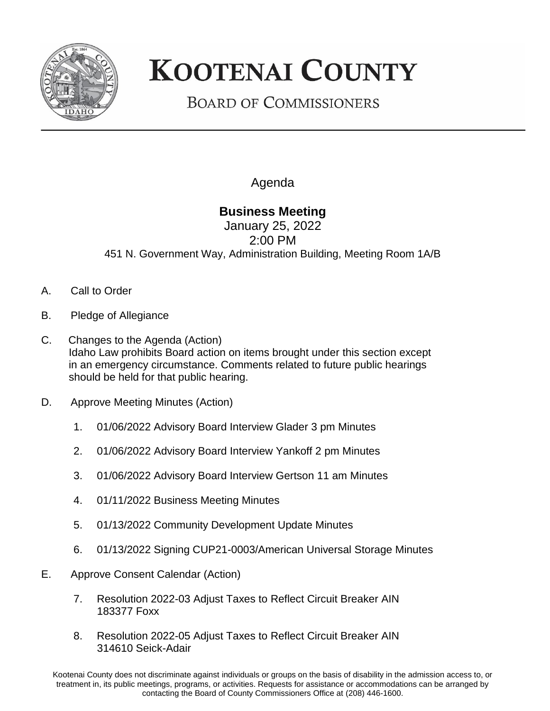

## **KOOTENAI COUNTY**

## **BOARD OF COMMISSIONERS**

Agenda

## **Business Meeting**

January 25, 2022 2:00 PM 451 N. Government Way, Administration Building, Meeting Room 1A/B

- A. Call to Order
- B. Pledge of Allegiance
- C. Changes to the Agenda (Action) Idaho Law prohibits Board action on items brought under this section except in an emergency circumstance. Comments related to future public hearings should be held for that public hearing.
- D. Approve Meeting Minutes (Action)
	- 1. 01/06/2022 Advisory Board Interview Glader 3 pm Minutes
	- 2. 01/06/2022 Advisory Board Interview Yankoff 2 pm Minutes
	- 3. 01/06/2022 Advisory Board Interview Gertson 11 am Minutes
	- 4. 01/11/2022 Business Meeting Minutes
	- 5. 01/13/2022 Community Development Update Minutes
	- 6. 01/13/2022 Signing CUP21-0003/American Universal Storage Minutes
- E. Approve Consent Calendar (Action)
	- 7. Resolution 2022-03 Adjust Taxes to Reflect Circuit Breaker AIN 183377 Foxx
	- 8. Resolution 2022-05 Adjust Taxes to Reflect Circuit Breaker AIN 314610 Seick-Adair

Kootenai County does not discriminate against individuals or groups on the basis of disability in the admission access to, or treatment in, its public meetings, programs, or activities. Requests for assistance or accommodations can be arranged by contacting the Board of County Commissioners Office at (208) 446-1600.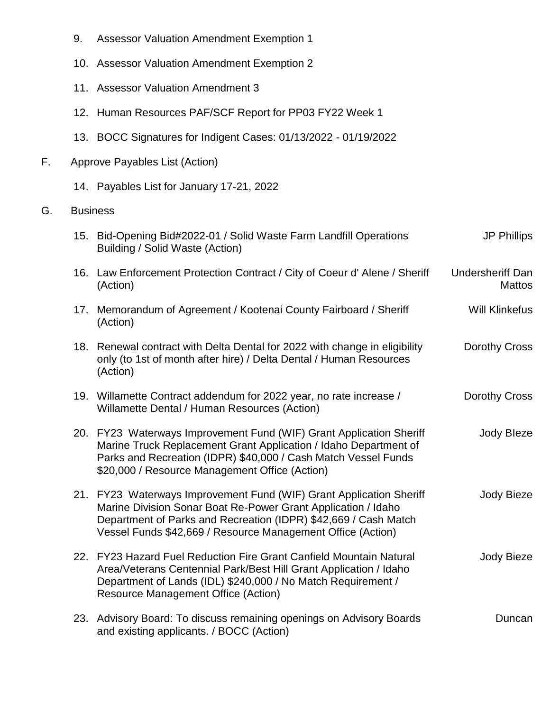- 9. Assessor Valuation Amendment Exemption 1
- 10. Assessor Valuation Amendment Exemption 2
- 11. Assessor Valuation Amendment 3
- 12. Human Resources PAF/SCF Report for PP03 FY22 Week 1
- 13. BOCC Signatures for Indigent Cases: 01/13/2022 01/19/2022
- F. Approve Payables List (Action)
	- 14. Payables List for January 17-21, 2022
- G. Business

|     | 15. Bid-Opening Bid#2022-01 / Solid Waste Farm Landfill Operations<br>Building / Solid Waste (Action)                                                                                                                                                                  | <b>JP Phillips</b>                |
|-----|------------------------------------------------------------------------------------------------------------------------------------------------------------------------------------------------------------------------------------------------------------------------|-----------------------------------|
|     | 16. Law Enforcement Protection Contract / City of Coeur d' Alene / Sheriff<br>(Action)                                                                                                                                                                                 | Undersheriff Dan<br><b>Mattos</b> |
|     | 17. Memorandum of Agreement / Kootenai County Fairboard / Sheriff<br>(Action)                                                                                                                                                                                          | <b>Will Klinkefus</b>             |
| 18. | Renewal contract with Delta Dental for 2022 with change in eligibility<br>only (to 1st of month after hire) / Delta Dental / Human Resources<br>(Action)                                                                                                               | Dorothy Cross                     |
|     | 19. Willamette Contract addendum for 2022 year, no rate increase /<br>Willamette Dental / Human Resources (Action)                                                                                                                                                     | Dorothy Cross                     |
|     | 20. FY23 Waterways Improvement Fund (WIF) Grant Application Sheriff<br>Marine Truck Replacement Grant Application / Idaho Department of<br>Parks and Recreation (IDPR) \$40,000 / Cash Match Vessel Funds<br>\$20,000 / Resource Management Office (Action)            | Jody Bleze                        |
|     | 21. FY23 Waterways Improvement Fund (WIF) Grant Application Sheriff<br>Marine Division Sonar Boat Re-Power Grant Application / Idaho<br>Department of Parks and Recreation (IDPR) \$42,669 / Cash Match<br>Vessel Funds \$42,669 / Resource Management Office (Action) | Jody Bieze                        |
|     | 22. FY23 Hazard Fuel Reduction Fire Grant Canfield Mountain Natural<br>Area/Veterans Centennial Park/Best Hill Grant Application / Idaho<br>Department of Lands (IDL) \$240,000 / No Match Requirement /<br><b>Resource Management Office (Action)</b>                 | Jody Bieze                        |
| 23. | Advisory Board: To discuss remaining openings on Advisory Boards<br>and existing applicants. / BOCC (Action)                                                                                                                                                           | Duncan                            |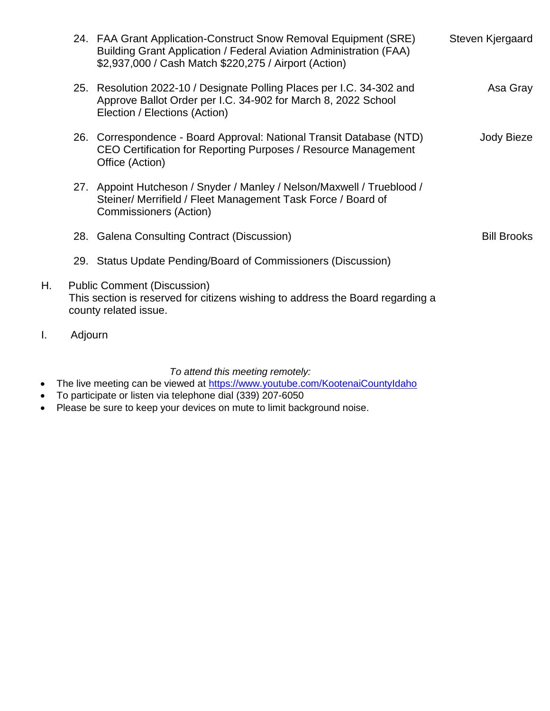|    | 24. FAA Grant Application-Construct Snow Removal Equipment (SRE)<br>Building Grant Application / Federal Aviation Administration (FAA)<br>\$2,937,000 / Cash Match \$220,275 / Airport (Action) | Steven Kjergaard   |
|----|-------------------------------------------------------------------------------------------------------------------------------------------------------------------------------------------------|--------------------|
|    | 25. Resolution 2022-10 / Designate Polling Places per I.C. 34-302 and<br>Approve Ballot Order per I.C. 34-902 for March 8, 2022 School<br>Election / Elections (Action)                         | Asa Gray           |
|    | 26. Correspondence - Board Approval: National Transit Database (NTD)<br>CEO Certification for Reporting Purposes / Resource Management<br>Office (Action)                                       | Jody Bieze         |
|    | 27. Appoint Hutcheson / Snyder / Manley / Nelson/Maxwell / Trueblood /<br>Steiner/ Merrifield / Fleet Management Task Force / Board of<br><b>Commissioners (Action)</b>                         |                    |
|    | 28. Galena Consulting Contract (Discussion)                                                                                                                                                     | <b>Bill Brooks</b> |
|    | 29. Status Update Pending/Board of Commissioners (Discussion)                                                                                                                                   |                    |
| Н. | <b>Public Comment (Discussion)</b><br>This section is reserved for citizens wishing to address the Board regarding a<br>county related issue.                                                   |                    |

I. Adjourn

## *To attend this meeting remotely:*

- The live meeting can be viewed at <https://www.youtube.com/KootenaiCountyIdaho>
- To participate or listen via telephone dial (339) 207-6050
- Please be sure to keep your devices on mute to limit background noise.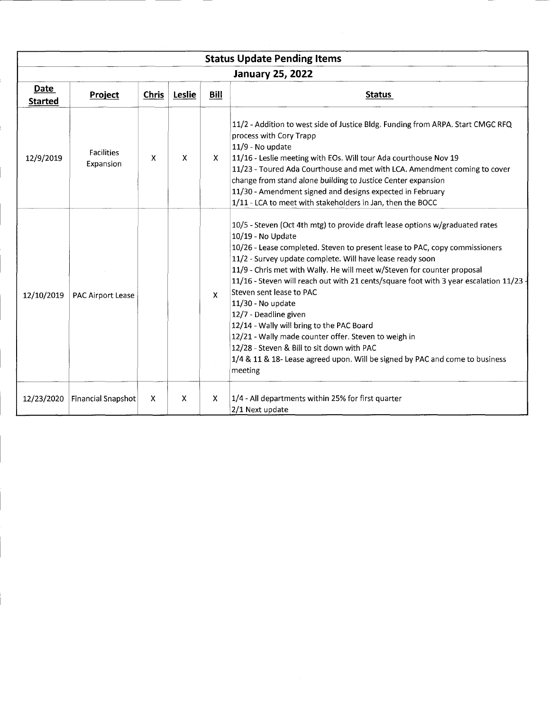| <b>Status Update Pending Items</b> |                                |              |        |              |                                                                                                                                                                                                                                                                                                                                                                                                                                                                                                                                                                                                                                                                                                                                          |  |
|------------------------------------|--------------------------------|--------------|--------|--------------|------------------------------------------------------------------------------------------------------------------------------------------------------------------------------------------------------------------------------------------------------------------------------------------------------------------------------------------------------------------------------------------------------------------------------------------------------------------------------------------------------------------------------------------------------------------------------------------------------------------------------------------------------------------------------------------------------------------------------------------|--|
|                                    | <b>January 25, 2022</b>        |              |        |              |                                                                                                                                                                                                                                                                                                                                                                                                                                                                                                                                                                                                                                                                                                                                          |  |
| Date<br><b>Started</b>             | Project                        | <b>Chris</b> | Leslie | Bill         | <b>Status</b>                                                                                                                                                                                                                                                                                                                                                                                                                                                                                                                                                                                                                                                                                                                            |  |
| 12/9/2019                          | <b>Facilities</b><br>Expansion | x            | X      | X.           | 11/2 - Addition to west side of Justice Bldg. Funding from ARPA. Start CMGC RFQ<br>process with Cory Trapp<br>11/9 - No update<br>11/16 - Leslie meeting with EOs. Will tour Ada courthouse Nov 19<br>11/23 - Toured Ada Courthouse and met with LCA. Amendment coming to cover<br>change from stand alone building to Justice Center expansion<br>11/30 - Amendment signed and designs expected in February<br>1/11 - LCA to meet with stakeholders in Jan, then the BOCC                                                                                                                                                                                                                                                               |  |
| 12/10/2019                         | <b>PAC Airport Lease</b>       |              |        | $\mathbf{x}$ | 10/5 - Steven (Oct 4th mtg) to provide draft lease options w/graduated rates<br>10/19 - No Update<br>10/26 - Lease completed. Steven to present lease to PAC, copy commissioners<br>11/2 - Survey update complete. Will have lease ready soon<br>11/9 - Chris met with Wally. He will meet w/Steven for counter proposal<br>11/16 - Steven will reach out with 21 cents/square foot with 3 year escalation 11/23<br>Steven sent lease to PAC<br>11/30 - No update<br>12/7 - Deadline given<br>12/14 - Wally will bring to the PAC Board<br>12/21 - Wally made counter offer. Steven to weigh in<br>12/28 - Steven & Bill to sit down with PAC<br>1/4 & 11 & 18- Lease agreed upon. Will be signed by PAC and come to business<br>meeting |  |
| 12/23/2020                         | <b>Financial Snapshot</b>      | X            | X      | X            | 1/4 - All departments within 25% for first quarter<br>2/1 Next update                                                                                                                                                                                                                                                                                                                                                                                                                                                                                                                                                                                                                                                                    |  |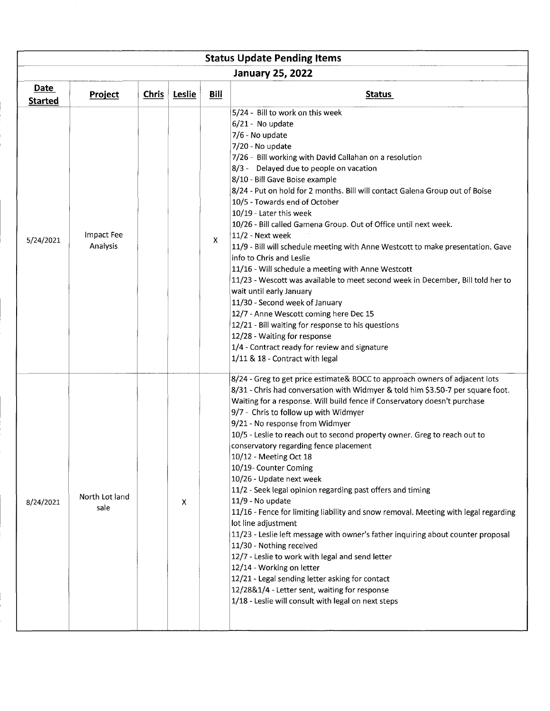| <b>Status Update Pending Items</b> |                        |       |              |              |                                                                                                                                                                                                                                                                                                                                                                                                                                                                                                                                                                                                                                                                                                                                                                                                                                                                                                                                                                                                                                                                                           |  |
|------------------------------------|------------------------|-------|--------------|--------------|-------------------------------------------------------------------------------------------------------------------------------------------------------------------------------------------------------------------------------------------------------------------------------------------------------------------------------------------------------------------------------------------------------------------------------------------------------------------------------------------------------------------------------------------------------------------------------------------------------------------------------------------------------------------------------------------------------------------------------------------------------------------------------------------------------------------------------------------------------------------------------------------------------------------------------------------------------------------------------------------------------------------------------------------------------------------------------------------|--|
| <b>January 25, 2022</b>            |                        |       |              |              |                                                                                                                                                                                                                                                                                                                                                                                                                                                                                                                                                                                                                                                                                                                                                                                                                                                                                                                                                                                                                                                                                           |  |
| Date<br><b>Started</b>             | Project                | Chris | Leslie       | <b>Bill</b>  | <b>Status</b>                                                                                                                                                                                                                                                                                                                                                                                                                                                                                                                                                                                                                                                                                                                                                                                                                                                                                                                                                                                                                                                                             |  |
| 5/24/2021                          | Impact Fee<br>Analysis |       |              | $\mathsf{X}$ | 5/24 - Bill to work on this week<br>6/21 - No update<br>7/6 - No update<br>7/20 - No update<br>7/26 - Bill working with David Callahan on a resolution<br>8/3 - Delayed due to people on vacation<br>8/10 - Bill Gave Boise example<br>8/24 - Put on hold for 2 months. Bill will contact Galena Group out of Boise<br>10/5 - Towards end of October<br>10/19 - Later this week<br>10/26 - Bill called Gamena Group. Out of Office until next week.<br>11/2 - Next week<br>11/9 - Bill will schedule meeting with Anne Westcott to make presentation. Gave<br>info to Chris and Leslie<br>11/16 - Will schedule a meeting with Anne Westcott<br>11/23 - Wescott was available to meet second week in December, Bill told her to<br>wait until early January<br>11/30 - Second week of January<br>12/7 - Anne Wescott coming here Dec 15<br>12/21 - Bill waiting for response to his questions<br>12/28 - Waiting for response<br>1/4 - Contract ready for review and signature<br>1/11 & 18 - Contract with legal                                                                         |  |
| 8/24/2021                          | North Lot land<br>sale |       | $\mathsf{X}$ |              | 8/24 - Greg to get price estimate& BOCC to approach owners of adjacent lots<br>8/31 - Chris had conversation with Widmyer & told him \$3.50-7 per square foot.<br>Waiting for a response. Will build fence if Conservatory doesn't purchase<br>9/7 - Chris to follow up with Widmyer<br>9/21 - No response from Widmyer<br>10/5 - Leslie to reach out to second property owner. Greg to reach out to<br>conservatory regarding fence placement<br>10/12 - Meeting Oct 18<br>10/19- Counter Coming<br>10/26 - Update next week<br>11/2 - Seek legal opinion regarding past offers and timing<br>11/9 - No update<br>11/16 - Fence for limiting liability and snow removal. Meeting with legal regarding<br>lot line adjustment<br>11/23 - Leslie left message with owner's father inquiring about counter proposal<br>11/30 - Nothing received<br>12/7 - Leslie to work with legal and send letter<br>12/14 - Working on letter<br>12/21 - Legal sending letter asking for contact<br>12/28&1/4 - Letter sent, waiting for response<br>1/18 - Leslie will consult with legal on next steps |  |